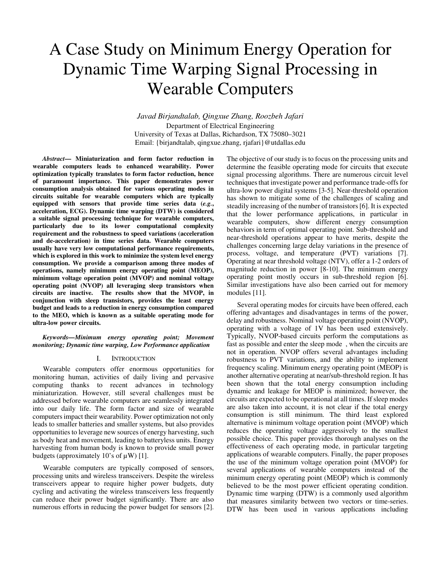# A Case Study on Minimum Energy Operation for Dynamic Time Warping Signal Processing in Wearable Computers

*Javad Birjandtalab, Qingxue Zhang, Roozbeh Jafari* Department of Electrical Engineering University of Texas at Dallas, Richardson, TX 75080–3021 Email: {birjandtalab, qingxue.zhang, rjafari}@utdallas.edu

*Abstract***— Miniaturization and form factor reduction in wearable computers leads to enhanced wearability. Power optimization typically translates to form factor reduction, hence of paramount importance. This paper demonstrates power consumption analysis obtained for various operating modes in circuits suitable for wearable computers which are typically equipped with sensors that provide time series data (***e.g.***, acceleration, ECG). Dynamic time warping (DTW) is considered a suitable signal processing technique for wearable computers, particularly due to its lower computational complexity requirement and the robustness to speed variations (acceleration and de-acceleration) in time series data. Wearable computers usually have very low computational performance requirements, which is explored in this work to minimize the system level energy consumption. We provide a comparison among three modes of operations, namely minimum energy operating point (MEOP), minimum voltage operation point (MVOP) and nominal voltage operating point (NVOP) all leveraging sleep transistors when circuits are inactive. The results show that the MVOP, in conjunction with sleep transistors, provides the least energy budget and leads to a reduction in energy consumption compared to the MEO, which is known as a suitable operating mode for ultra-low power circuits.** 

*Keywords—Minimum energy operating point; Movement monitoring; Dynamic time warping, Low Performance application* 

#### I. INTRODUCTION

Wearable computers offer enormous opportunities for monitoring human, activities of daily living and pervasive computing thanks to recent advances in technology miniaturization. However, still several challenges must be addressed before wearable computers are seamlessly integrated into our daily life. The form factor and size of wearable computers impact their wearability. Power optimization not only leads to smaller batteries and smaller systems, but also provides opportunities to leverage new sources of energy harvesting, such as body heat and movement, leading to batteryless units. Energy harvesting from human body is known to provide small power budgets (approximately 10's of  $\mu$ W) [1].

Wearable computers are typically composed of sensors, processing units and wireless transceivers. Despite the wireless transceivers appear to require higher power budgets, duty cycling and activating the wireless transceivers less frequently can reduce their power budget significantly. There are also numerous efforts in reducing the power budget for sensors [2].

The objective of our study is to focus on the processing units and determine the feasible operating mode for circuits that execute signal processing algorithms. There are numerous circuit level techniques that investigate power and performance trade-offs for ultra-low power digital systems [3-5]. Near-threshold operation has shown to mitigate some of the challenges of scaling and steadily increasing of the number of transistors [6]. It is expected that the lower performance applications, in particular in wearable computers, show different energy consumption behaviors in term of optimal operating point. Sub-threshold and near-threshold operations appear to have merits, despite the challenges concerning large delay variations in the presence of process, voltage, and temperature (PVT) variations [7]. Operating at near threshold voltage (NTV), offer a 1-2 orders of magnitude reduction in power [8-10]. The minimum energy operating point mostly occurs in sub-threshold region [6]. Similar investigations have also been carried out for memory modules [11].

Several operating modes for circuits have been offered, each offering advantages and disadvantages in terms of the power, delay and robustness. Nominal voltage operating point (NVOP), operating with a voltage of 1V has been used extensively. Typically, NVOP-based circuits perform the computations as fast as possible and enter the sleep mode , when the circuits are not in operation. NVOP offers several advantages including robustness to PVT variations, and the ability to implement frequency scaling. Minimum energy operating point (MEOP) is another alternative operating at near/sub-threshold region. It has been shown that the total energy consumption including dynamic and leakage for MEOP is minimized; however, the circuits are expected to be operational at all times. If sleep modes are also taken into account, it is not clear if the total energy consumption is still minimum. The third least explored alternative is minimum voltage operation point (MVOP) which reduces the operating voltage aggressively to the smallest possible choice. This paper provides thorough analyses on the effectiveness of each operating mode, in particular targeting applications of wearable computers. Finally, the paper proposes the use of the minimum voltage operation point (MVOP) for several applications of wearable computers instead of the minimum energy operating point (MEOP) which is commonly believed to be the most power efficient operating condition. Dynamic time warping (DTW) is a commonly used algorithm that measures similarity between two vectors or time-series. DTW has been used in various applications including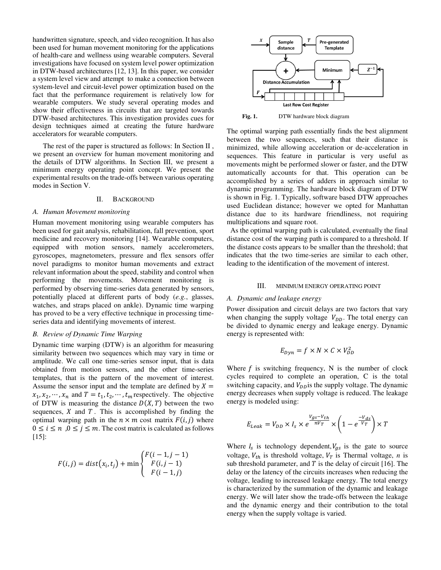handwritten signature, speech, and video recognition. It has also been used for human movement monitoring for the applications of health-care and wellness using wearable computers. Several investigations have focused on system level power optimization in DTW-based architectures [12, 13]. In this paper, we consider a system level view and attempt to make a connection between system-level and circuit-level power optimization based on the fact that the performance requirement is relatively low for wearable computers. We study several operating modes and show their effectiveness in circuits that are targeted towards DTW-based architectures. This investigation provides cues for design techniques aimed at creating the future hardware accelerators for wearable computers.

The rest of the paper is structured as follows: In Section II , we present an overview for human movement monitoring and the details of DTW algorithms. In Section III, we present a minimum energy operating point concept. We present the experimental results on the trade-offs between various operating modes in Section V.

## II. BACKGROUND

## *A. Human Movement monitoring*

Human movement monitoring using wearable computers has been used for gait analysis, rehabilitation, fall prevention, sport medicine and recovery monitoring [14]. Wearable computers, equipped with motion sensors, namely accelerometers, gyroscopes, magnetometers, pressure and flex sensors offer novel paradigms to monitor human movements and extract relevant information about the speed, stability and control when performing the movements. Movement monitoring is performed by observing time-series data generated by sensors, potentially placed at different parts of body (*e.g.*, glasses, watches, and straps placed on ankle). Dynamic time warping has proved to be a very effective technique in processing timeseries data and identifying movements of interest.

## *B. Review of Dynamic Time Warping*

Dynamic time warping (DTW) is an algorithm for measuring similarity between two sequences which may vary in time or amplitude. We call one time-series sensor input, that is data obtained from motion sensors, and the other time-series templates, that is the pattern of the movement of interest. Assume the sensor input and the template are defined by  $X =$  $x_1, x_2, \dots, x_n$  and  $T = t_1, t_2, \dots, t_m$  respectively. The objective of DTW is measuring the distance  $D(X, T)$  between the two sequences,  $X$  and  $T$ . This is accomplished by finding the optimal warping path in the  $n \times m$  cost matrix  $F(i, j)$  where  $0 \le i \le n$ ,  $0 \le j \le m$ . The cost matrix is calculated as follows [15]:

$$
F(i,j) = dist(x_i, t_j) + min \begin{cases} F(i-1, j-1) \\ F(i, j-1) \\ F(i-1, j) \end{cases}
$$



**Fig. 1.** DTW hardware block diagram

The optimal warping path essentially finds the best alignment between the two sequences, such that their distance is minimized, while allowing acceleration or de-acceleration in sequences. This feature in particular is very useful as movements might be performed slower or faster, and the DTW automatically accounts for that. This operation can be accomplished by a series of adders in approach similar to dynamic programming. The hardware block diagram of DTW is shown in Fig. 1. Typically, software based DTW approaches used Euclidean distance; however we opted for Manhattan distance due to its hardware friendliness, not requiring multiplications and square root.

 As the optimal warping path is calculated, eventually the final distance cost of the warping path is compared to a threshold. If the distance costs appears to be smaller than the threshold; that indicates that the two time-series are similar to each other, leading to the identification of the movement of interest.

#### III. MINIMUM ENERGY OPERATING POINT

#### *A. Dynamic and leakage energy*

Power dissipation and circuit delays are two factors that vary when changing the supply voltage  $V_{DD}$ . The total energy can be divided to dynamic energy and leakage energy. Dynamic energy is represented with:

$$
E_{Dyn} = f \times N \times C \times V_{DD}^2
$$

Where  $f$  is switching frequency, N is the number of clock cycles required to complete an operation, C is the total switching capacity, and  $V_{DD}$  is the supply voltage. The dynamic energy decreases when supply voltage is reduced. The leakage energy is modeled using:

$$
E_{Leak} = V_{DD} \times I_s \times e^{\frac{V_{gs} - V_{th}}{nV_T}} \times \left(1 - e^{\frac{-V_{ds}}{V_T}}\right) \times T
$$

Where  $I_s$  is technology dependent,  $V_{gs}$  is the gate to source voltage,  $V_{th}$  is threshold voltage,  $V_T$  is Thermal voltage, *n* is sub threshold parameter, and  $T$  is the delay of circuit [16]. The delay or the latency of the circuits increases when reducing the voltage, leading to increased leakage energy. The total energy is characterized by the summation of the dynamic and leakage energy. We will later show the trade-offs between the leakage and the dynamic energy and their contribution to the total energy when the supply voltage is varied.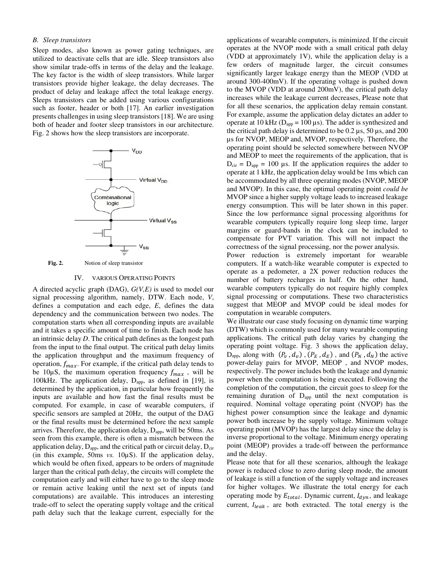# *B. Sleep transistors*

Sleep modes, also known as power gating techniques, are utilized to deactivate cells that are idle. Sleep transistors also show similar trade-offs in terms of the delay and the leakage. The key factor is the width of sleep transistors. While larger transistors provide higher leakage, the delay decreases. The product of delay and leakage affect the total leakage energy. Sleeps transistors can be added using various configurations such as footer, header or both [17]. An earlier investigation presents challenges in using sleep transistors [18]. We are using both of header and footer sleep transistors in our architecture. Fig. 2 shows how the sleep transistors are incorporate.



**Fig. 2.** Notion of sleep transistor

## IV. VARIOUS OPERATING POINTS

A directed acyclic graph (DAG), *G(V,E)* is used to model our signal processing algorithm, namely, DTW. Each node, *V*, defines a computation and each edge, *E*, defines the data dependency and the communication between two nodes. The computation starts when all corresponding inputs are available and it takes a specific amount of time to finish. Each node has an intrinsic delay *D*. The critical path defines as the longest path from the input to the final output. The critical path delay limits the application throughput and the maximum frequency of operation,  $f_{max}$ . For example, if the critical path delay tends to be 10 $\mu$ S, the maximum operation frequency  $f_{max}$ , will be 100kHz. The application delay, Dapp, as defined in [19], is determined by the application, in particular how frequently the inputs are available and how fast the final results must be computed. For example, in case of wearable computers, if specific sensors are sampled at 20Hz, the output of the DAG or the final results must be determined before the next sample arrives. Therefore, the application delay,  $D_{app}$ , will be 50ms. As seen from this example, there is often a mismatch between the application delay,  $D_{app}$ , and the critical path or circuit delay,  $D_{cir}$ (in this example, 50ms *vs.* 10µS). If the application delay, which would be often fixed, appears to be orders of magnitude larger than the critical path delay, the circuits will complete the computation early and will either have to go to the sleep mode or remain active leaking until the next set of inputs (and computations) are available. This introduces an interesting trade-off to select the operating supply voltage and the critical path delay such that the leakage current, especially for the applications of wearable computers, is minimized. If the circuit operates at the NVOP mode with a small critical path delay (VDD at approximately 1V), while the application delay is a few orders of magnitude larger, the circuit consumes significantly larger leakage energy than the MEOP (VDD at around 300-400mV). If the operating voltage is pushed down to the MVOP (VDD at around 200mV), the critical path delay increases while the leakage current decreases, Please note that for all these scenarios, the application delay remain constant. For example, assume the application delay dictates an adder to operate at 10 kHz ( $D_{app}$  = 100 µs). The adder is synthesized and the critical path delay is determined to be  $0.2 \mu s$ ,  $50 \mu s$ , and  $200$ µs for NVOP, MEOP and, MVOP, respectively. Therefore, the operating point should be selected somewhere between NVOP and MEOP to meet the requirements of the application, that is  $D_{\text{cir}} = D_{\text{app}} = 100 \text{ }\mu\text{s}$ . If the application requires the adder to operate at 1 kHz, the application delay would be 1ms which can be accommodated by all three operating modes (NVOP, MEOP and MVOP). In this case, the optimal operating point *could be* MVOP since a higher supply voltage leads to increased leakage energy consumption. This will be later shown in this paper. Since the low performance signal processing algorithms for wearable computers typically require long sleep time, larger margins or guard-bands in the clock can be included to compensate for PVT variation. This will not impact the correctness of the signal processing, nor the power analysis.

Power reduction is extremely important for wearable computers. If a watch-like wearable computer is expected to operate as a pedometer, a 2X power reduction reduces the number of battery recharges in half. On the other hand, wearable computers typically do not require highly complex signal processing or computations. These two characteristics suggest that MEOP and MVOP could be ideal modes for computation in wearable computers.

We illustrate our case study focusing on dynamic time warping (DTW) which is commonly used for many wearable computing applications. The critical path delay varies by changing the operating point voltage. Fig. 3 shows the application delay,  $D_{\text{app}}$ , along with  $(P_v, d_v)$ ,  $(P_E, d_E)$ , and  $(P_N, d_N)$  the active power-delay pairs for MVOP, MEOP , and NVOP modes, respectively. The power includes both the leakage and dynamic power when the computation is being executed. Following the completion of the computation, the circuit goes to sleep for the remaining duration of Dapp until the next computation is required. Nominal voltage operating point (NVOP) has the highest power consumption since the leakage and dynamic power both increase by the supply voltage. Minimum voltage operating point (MVOP) has the largest delay since the delay is inverse proportional to the voltage. Minimum energy operating point (MEOP) provides a trade-off between the performance and the delay.

Please note that for all these scenarios, although the leakage power is reduced close to zero during sleep mode, the amount of leakage is still a function of the supply voltage and increases for higher voltages. We illustrate the total energy for each operating mode by  $E_{total}$ . Dynamic current,  $I_{dyn}$ , and leakage current,  $I_{leak}$ , are both extracted. The total energy is the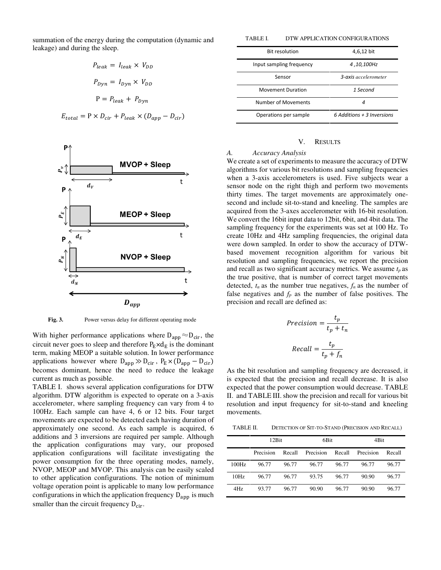summation of the energy during the computation (dynamic and leakage) and during the sleep.

> $P_{leak} = I_{leak} \times V_{DD}$  $P_{Dyn} = I_{Dyn} \times V_{DD}$  $P = P_{leak} + P_{Dyn}$

$$
E_{total} = P \times D_{cir} + P_{leak} \times (D_{app} - D_{cir})
$$



Fig. 3. Power versus delay for different operating mode

With higher performance applications where  $D_{app} \approx D_{cir}$ , the circuit never goes to sleep and therefore  $P_{E} \times d_{E}$  is the dominant term, making MEOP a suitable solution. In lower performance applications however where  $D_{app} \gg D_{cir}$ ,  $P_E \times (D_{app} - D_{cir})$ becomes dominant, hence the need to reduce the leakage current as much as possible.

TABLE I. shows several application configurations for DTW algorithm. DTW algorithm is expected to operate on a 3-axis accelerometer, where sampling frequency can vary from 4 to 100Hz. Each sample can have 4, 6 or 12 bits. Four target movements are expected to be detected each having duration of approximately one second. As each sample is acquired, 6 additions and 3 inversions are required per sample. Although the application configurations may vary, our proposed application configurations will facilitate investigating the power consumption for the three operating modes, namely, NVOP, MEOP and MVOP. This analysis can be easily scaled to other application configurations. The notion of minimum voltage operation point is applicable to many low performance configurations in which the application frequency  $D_{\text{app}}$  is much smaller than the circuit frequency  $D_{cir}$ .

| TABLE I. | DTW APPLICATION CONFIGURATIONS |
|----------|--------------------------------|
|          |                                |

| <b>Bit resolution</b>    | 4,6,12 bit                   |  |  |
|--------------------------|------------------------------|--|--|
| Input sampling frequency | 4,10,100Hz                   |  |  |
| Sensor                   | 3-axis accelerometer         |  |  |
| <b>Movement Duration</b> | 1 Second                     |  |  |
| Number of Movements      |                              |  |  |
| Operations per sample    | $6$ Additions + 3 Inversions |  |  |

#### V. RESULTS

# *A. Accuracy Analysis*

We create a set of experiments to measure the accuracy of DTW algorithms for various bit resolutions and sampling frequencies when a 3-axis accelerometers is used. Five subjects wear a sensor node on the right thigh and perform two movements thirty times. The target movements are approximately onesecond and include sit-to-stand and kneeling. The samples are acquired from the 3-axes accelerometer with 16-bit resolution. We convert the 16bit input data to 12bit, 6bit, and 4bit data. The sampling frequency for the experiments was set at 100 Hz. To create 10Hz and 4Hz sampling frequencies, the original data were down sampled. In order to show the accuracy of DTWbased movement recognition algorithm for various bit resolution and sampling frequencies, we report the precision and recall as two significant accuracy metrics. We assume *t<sup>p</sup>* as the true positive, that is number of correct target movements detected,  $t_n$  as the number true negatives,  $f_n$  as the number of false negatives and  $f_p$  as the number of false positives. The precision and recall are defined as:

$$
Precision = \frac{t_p}{t_p + t_n}
$$

$$
Recall = \frac{t_p}{t_p + f_n}
$$

As the bit resolution and sampling frequency are decreased, it is expected that the precision and recall decrease. It is also expected that the power consumption would decrease. TABLE II. and TABLE III. show the precision and recall for various bit resolution and input frequency for sit-to-stand and kneeling movements.

TABLE II. DETECTION OF SIT-TO-STAND (PRECISION AND RECALL)

|                 | 12Bit     |        | 6Bit      |        | 4 <sub>Bit</sub> |        |
|-----------------|-----------|--------|-----------|--------|------------------|--------|
|                 | Precision | Recall | Precision | Recall | Precision        | Recall |
| 100Hz           | 96.77     | 96.77  | 96.77     | 96.77  | 96.77            | 96.77  |
| 10Hz            | 96.77     | 96.77  | 93.75     | 96.77  | 90.90            | 96.77  |
| 4H <sub>Z</sub> | 93.77     | 96.77  | 90.90     | 96.77  | 90.90            | 96.77  |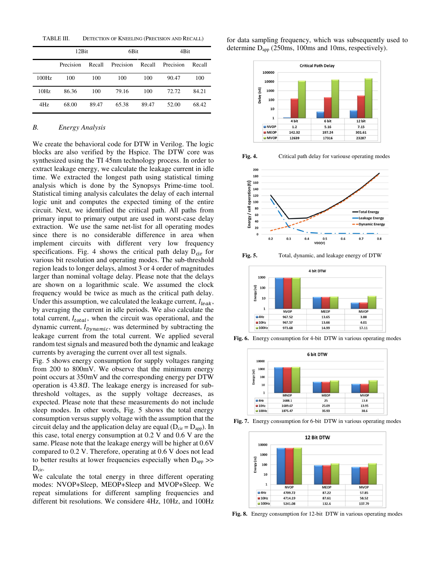TABLE III. DETECTION OF KNEELING (PRECISION AND RECALL)

|       | 12Bit     |        | 6Bit      |        | 4Bit      |        |
|-------|-----------|--------|-----------|--------|-----------|--------|
|       | Precision | Recall | Precision | Recall | Precision | Recall |
| 100Hz | 100       | 100    | 100       | 100    | 90.47     | 100    |
| 10Hz  | 86.36     | 100    | 79.16     | 100    | 72.72     | 84.21  |
| 4Hz   | 68.00     | 89.47  | 65.38     | 89.47  | 52.00     | 68.42  |

# *B. Energy Analysis*

We create the behavioral code for DTW in Verilog. The logic blocks are also verified by the Hspice. The DTW core was synthesized using the TI 45nm technology process. In order to extract leakage energy, we calculate the leakage current in idle time. We extracted the longest path using statistical timing analysis which is done by the Synopsys Prime-time tool. Statistical timing analysis calculates the delay of each internal logic unit and computes the expected timing of the entire circuit. Next, we identified the critical path. All paths from primary input to primary output are used in worst-case delay extraction. We use the same net-list for all operating modes since there is no considerable difference in area when implement circuits with different very low frequency specifications. Fig. 4 shows the critical path delay  $D_{cir}$  for various bit resolution and operating modes. The sub-threshold region leads to longer delays, almost 3 or 4 order of magnitudes larger than nominal voltage delay. Please note that the delays are shown on a logarithmic scale. We assumed the clock frequency would be twice as much as the critical path delay. Under this assumption, we calculated the leakage current,  $I_{leak}$ , by averaging the current in idle periods. We also calculate the total current,  $I_{total}$ , when the circuit was operational, and the dynamic current,  $I_{Dynamic}$ , was determined by subtracting the leakage current from the total current. We applied several random test signals and measured both the dynamic and leakage currents by averaging the current over all test signals.

Fig. 5 shows energy consumption for supply voltages ranging from 200 to 800mV. We observe that the minimum energy point occurs at 350mV and the corresponding energy per DTW operation is 43.8fJ. The leakage energy is increased for subthreshold voltages, as the supply voltage decreases, as expected. Please note that these measurements do not include sleep modes. In other words, Fig. 5 shows the total energy consumption versus supply voltage with the assumption that the circuit delay and the application delay are equal  $(D_{cir} = D_{app})$ . In this case, total energy consumption at 0.2 V and 0.6 V are the same. Please note that the leakage energy will be higher at 0.6V compared to 0.2 V. Therefore, operating at 0.6 V does not lead to better results at lower frequencies especially when  $D_{app}$  >> D<sub>cir</sub>.

We calculate the total energy in three different operating modes: NVOP+Sleep, MEOP+Sleep and MVOP+Sleep. We repeat simulations for different sampling frequencies and different bit resolutions. We considere 4Hz, 10Hz, and 100Hz for data sampling frequency, which was subsequently used to determine Dapp (250ms, 100ms and 10ms, respectively).



**Fig. 4.** Critical path delay for variouse operating modes



**Fig. 5.** Total, dynamic, and leakage energy of DTW



**Fig. 6.** Energy consumption for 4-bit DTW in various operating modes



**Fig. 7.** Energy consumption for 6-bit DTW in various operating modes



**Fig. 8.** Energy consumption for 12-bit DTW in various operating modes